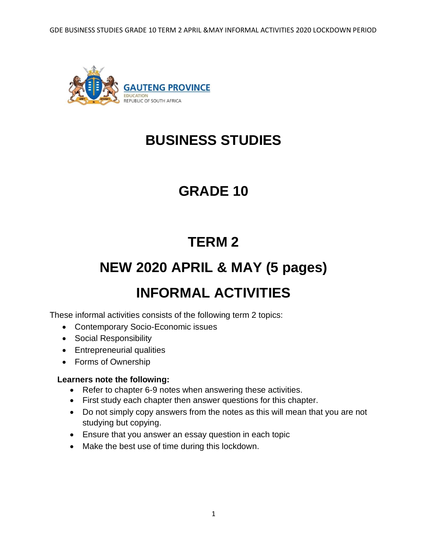GDE BUSINESS STUDIES GRADE 10 TERM 2 APRIL &MAY INFORMAL ACTIVITIES 2020 LOCKDOWN PERIOD



## **BUSINESS STUDIES**

## **GRADE 10**

## **TERM 2**

# **NEW 2020 APRIL & MAY (5 pages)**

## **INFORMAL ACTIVITIES**

These informal activities consists of the following term 2 topics:

- Contemporary Socio-Economic issues
- Social Responsibility
- Entrepreneurial qualities
- Forms of Ownership

#### **Learners note the following:**

- Refer to chapter 6-9 notes when answering these activities.
- First study each chapter then answer questions for this chapter.
- Do not simply copy answers from the notes as this will mean that you are not studying but copying.
- Ensure that you answer an essay question in each topic
- Make the best use of time during this lockdown.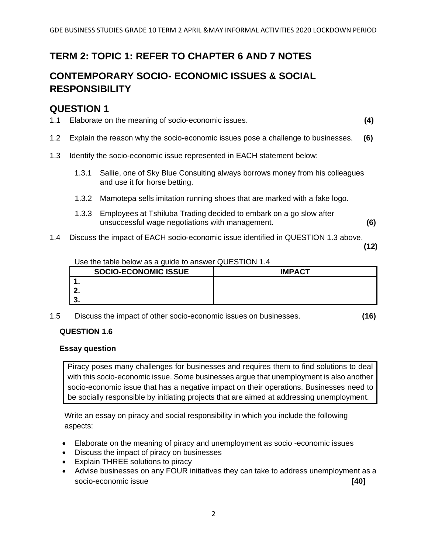## **TERM 2: TOPIC 1: REFER TO CHAPTER 6 AND 7 NOTES**

## **CONTEMPORARY SOCIO- ECONOMIC ISSUES & SOCIAL RESPONSIBILITY**

### **QUESTION 1**

- 1.1 Elaborate on the meaning of socio-economic issues. **(4)**
- 1.2 Explain the reason why the socio-economic issues pose a challenge to businesses. **(6)**
- 1.3 Identify the socio-economic issue represented in EACH statement below:
	- 1.3.1 Sallie, one of Sky Blue Consulting always borrows money from his colleagues and use it for horse betting.
	- 1.3.2 Mamotepa sells imitation running shoes that are marked with a fake logo.
	- 1.3.3 Employees at Tshiluba Trading decided to embark on a go slow after unsuccessful wage negotiations with management. **(6)**
- 1.4 Discuss the impact of EACH socio-economic issue identified in QUESTION 1.3 above.

**(12)**

#### Use the table below as a guide to answer QUESTION 1.4

| <b>SOCIO-ECONOMIC ISSUE</b> | <b>IMPACT</b> |
|-----------------------------|---------------|
|                             |               |
| --                          |               |
|                             |               |

1.5 Discuss the impact of other socio-economic issues on businesses. **(16)**

#### **QUESTION 1.6**

#### **Essay question**

Piracy poses many challenges for businesses and requires them to find solutions to deal with this socio-economic issue. Some businesses argue that unemployment is also another socio-economic issue that has a negative impact on their operations. Businesses need to be socially responsible by initiating projects that are aimed at addressing unemployment.

Write an essay on piracy and social responsibility in which you include the following aspects:

- Elaborate on the meaning of piracy and unemployment as socio -economic issues
- Discuss the impact of piracy on businesses
- Explain THREE solutions to piracy
- Advise businesses on any FOUR initiatives they can take to address unemployment as a socio-economic issue **[40]**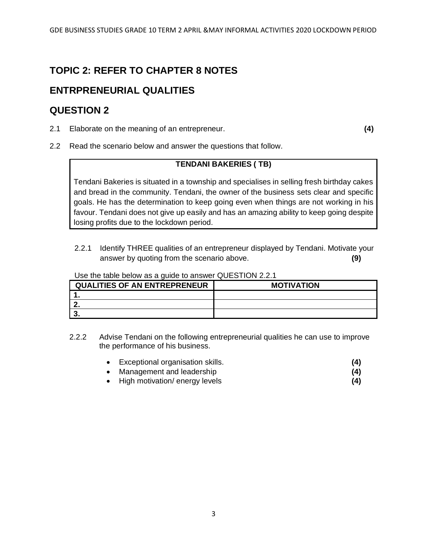## **TOPIC 2: REFER TO CHAPTER 8 NOTES**

## **ENTRPRENEURIAL QUALITIES**

### **QUESTION 2**

2.1 Elaborate on the meaning of an entrepreneur. **(4)**

2.2 Read the scenario below and answer the questions that follow.

#### **TENDANI BAKERIES ( TB)**

Tendani Bakeries is situated in a township and specialises in selling fresh birthday cakes and bread in the community. Tendani, the owner of the business sets clear and specific goals. He has the determination to keep going even when things are not working in his favour. Tendani does not give up easily and has an amazing ability to keep going despite losing profits due to the lockdown period.

2.2.1 Identify THREE qualities of an entrepreneur displayed by Tendani. Motivate your answer by quoting from the scenario above. **(9)**

| <b>QUALITIES OF AN ENTREPRENEUR</b> | <b>MOTIVATION</b> |
|-------------------------------------|-------------------|
|                                     |                   |
| --                                  |                   |
|                                     |                   |

#### Use the table below as a guide to answer QUESTION 2.2.1

- 2.2.2 Advise Tendani on the following entrepreneurial qualities he can use to improve the performance of his business.
	- Exceptional organisation skills. **(4)**
	- Management and leadership **(4)**
	- High motivation/ energy levels **(4)**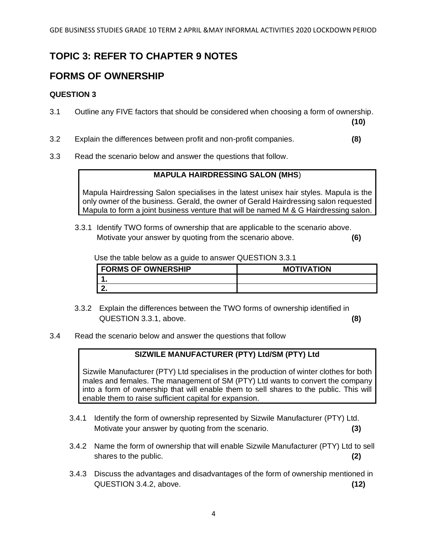## **TOPIC 3: REFER TO CHAPTER 9 NOTES**

## **FORMS OF OWNERSHIP**

#### **QUESTION 3**

3.1 Outline any FIVE factors that should be considered when choosing a form of ownership.

**(10)**

- 3.2 Explain the differences between profit and non-profit companies. **(8)**
- 3.3 Read the scenario below and answer the questions that follow.

#### **MAPULA HAIRDRESSING SALON (MHS**)

Mapula Hairdressing Salon specialises in the latest unisex hair styles. Mapula is the only owner of the business. Gerald, the owner of Gerald Hairdressing salon requested Mapula to form a joint business venture that will be named M & G Hairdressing salon.

3.3.1 Identify TWO forms of ownership that are applicable to the scenario above. Motivate your answer by quoting from the scenario above. **(6)**

Use the table below as a guide to answer QUESTION 3.3.1

| --                        |                   |
|---------------------------|-------------------|
| <b>FORMS OF OWNERSHIP</b> | <b>MOTIVATION</b> |
|                           |                   |
|                           |                   |

- 3.3.2 Explain the differences between the TWO forms of ownership identified in QUESTION 3.3.1, above. **(8)**
- 3.4 Read the scenario below and answer the questions that follow

### **SIZWILE MANUFACTURER (PTY) Ltd/SM (PTY) Ltd**

Sizwile Manufacturer (PTY) Ltd specialises in the production of winter clothes for both males and females. The management of SM (PTY) Ltd wants to convert the company into a form of ownership that will enable them to sell shares to the public. This will enable them to raise sufficient capital for expansion.

- 3.4.1 Identify the form of ownership represented by Sizwile Manufacturer (PTY) Ltd. Motivate your answer by quoting from the scenario. **(3)**
- 3.4.2 Name the form of ownership that will enable Sizwile Manufacturer (PTY) Ltd to sell shares to the public. **(2)**
- 3.4.3 Discuss the advantages and disadvantages of the form of ownership mentioned in QUESTION 3.4.2, above. **(12)**